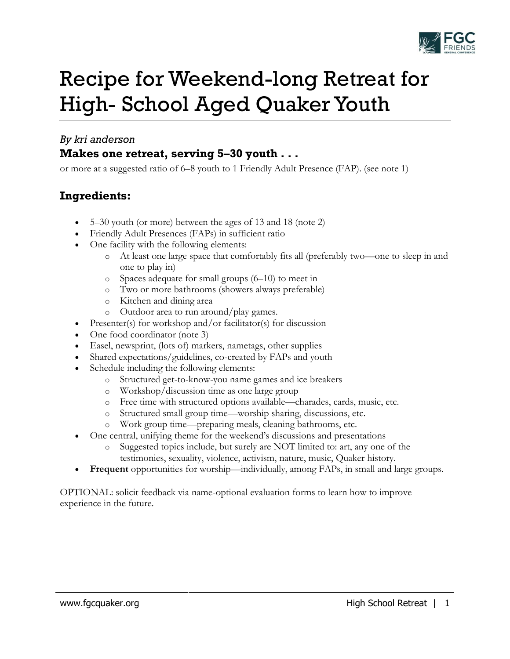

# Recipe for Weekend-long Retreat for High- School Aged Quaker Youth

## *By kri anderson*

# **Makes one retreat, serving 5–30 youth . . .**

or more at a suggested ratio of 6–8 youth to 1 Friendly Adult Presence (FAP). (see note 1)

# **Ingredients:**

- 5–30 youth (or more) between the ages of 13 and 18 (note 2)
- Friendly Adult Presences (FAPs) in sufficient ratio
- One facility with the following elements:
	- o At least one large space that comfortably fits all (preferably two—one to sleep in and one to play in)
	- o Spaces adequate for small groups (6–10) to meet in
	- o Two or more bathrooms (showers always preferable)
	- o Kitchen and dining area
	- o Outdoor area to run around/play games.
- Presenter(s) for workshop and/or facilitator(s) for discussion
- One food coordinator (note 3)
- Easel, newsprint, (lots of) markers, nametags, other supplies
- Shared expectations/guidelines, co-created by FAPs and youth
- Schedule including the following elements:
	- o Structured get-to-know-you name games and ice breakers
	- o Workshop/discussion time as one large group
	- o Free time with structured options available—charades, cards, music, etc.
	- o Structured small group time—worship sharing, discussions, etc.
	- o Work group time—preparing meals, cleaning bathrooms, etc.
- One central, unifying theme for the weekend's discussions and presentations
	- Suggested topics include, but surely are NOT limited to: art, any one of the testimonies, sexuality, violence, activism, nature, music, Quaker history.
- **Frequent** opportunities for worship—individually, among FAPs, in small and large groups.

OPTIONAL: solicit feedback via name-optional evaluation forms to learn how to improve experience in the future.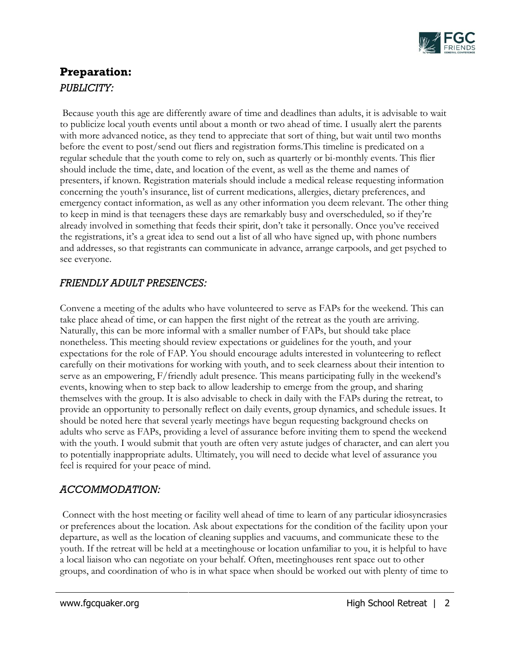

# **Preparation:**  *PUBLICITY:*

Because youth this age are differently aware of time and deadlines than adults, it is advisable to wait to publicize local youth events until about a month or two ahead of time. I usually alert the parents with more advanced notice, as they tend to appreciate that sort of thing, but wait until two months before the event to post/send out fliers and registration forms.This timeline is predicated on a regular schedule that the youth come to rely on, such as quarterly or bi-monthly events. This flier should include the time, date, and location of the event, as well as the theme and names of presenters, if known. Registration materials should include a medical release requesting information concerning the youth's insurance, list of current medications, allergies, dietary preferences, and emergency contact information, as well as any other information you deem relevant. The other thing to keep in mind is that teenagers these days are remarkably busy and overscheduled, so if they're already involved in something that feeds their spirit, don't take it personally. Once you've received the registrations, it's a great idea to send out a list of all who have signed up, with phone numbers and addresses, so that registrants can communicate in advance, arrange carpools, and get psyched to see everyone.

#### *FRIENDLY ADULT PRESENCES:*

Convene a meeting of the adults who have volunteered to serve as FAPs for the weekend. This can take place ahead of time, or can happen the first night of the retreat as the youth are arriving. Naturally, this can be more informal with a smaller number of FAPs, but should take place nonetheless. This meeting should review expectations or guidelines for the youth, and your expectations for the role of FAP. You should encourage adults interested in volunteering to reflect carefully on their motivations for working with youth, and to seek clearness about their intention to serve as an empowering, F/friendly adult presence. This means participating fully in the weekend's events, knowing when to step back to allow leadership to emerge from the group, and sharing themselves with the group. It is also advisable to check in daily with the FAPs during the retreat, to provide an opportunity to personally reflect on daily events, group dynamics, and schedule issues. It should be noted here that several yearly meetings have begun requesting background checks on adults who serve as FAPs, providing a level of assurance before inviting them to spend the weekend with the youth. I would submit that youth are often very astute judges of character, and can alert you to potentially inappropriate adults. Ultimately, you will need to decide what level of assurance you feel is required for your peace of mind.

## *ACCOMMODATION:*

Connect with the host meeting or facility well ahead of time to learn of any particular idiosyncrasies or preferences about the location. Ask about expectations for the condition of the facility upon your departure, as well as the location of cleaning supplies and vacuums, and communicate these to the youth. If the retreat will be held at a meetinghouse or location unfamiliar to you, it is helpful to have a local liaison who can negotiate on your behalf. Often, meetinghouses rent space out to other groups, and coordination of who is in what space when should be worked out with plenty of time to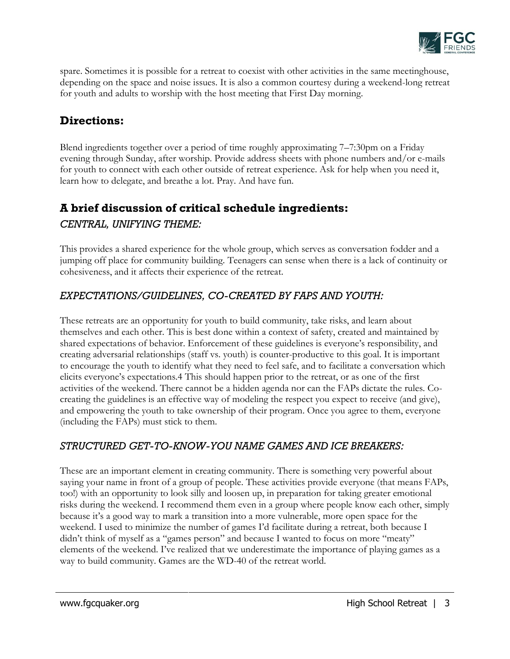

spare. Sometimes it is possible for a retreat to coexist with other activities in the same meetinghouse, depending on the space and noise issues. It is also a common courtesy during a weekend-long retreat for youth and adults to worship with the host meeting that First Day morning.

# **Directions:**

Blend ingredients together over a period of time roughly approximating 7–7:30pm on a Friday evening through Sunday, after worship. Provide address sheets with phone numbers and/or e-mails for youth to connect with each other outside of retreat experience. Ask for help when you need it, learn how to delegate, and breathe a lot. Pray. And have fun.

# **A brief discussion of critical schedule ingredients:**

## *CENTRAL, UNIFYING THEME:*

This provides a shared experience for the whole group, which serves as conversation fodder and a jumping off place for community building. Teenagers can sense when there is a lack of continuity or cohesiveness, and it affects their experience of the retreat.

## *EXPECTATIONS/GUIDELINES, CO-CREATED BY FAPS AND YOUTH:*

These retreats are an opportunity for youth to build community, take risks, and learn about themselves and each other. This is best done within a context of safety, created and maintained by shared expectations of behavior. Enforcement of these guidelines is everyone's responsibility, and creating adversarial relationships (staff vs. youth) is counter-productive to this goal. It is important to encourage the youth to identify what they need to feel safe, and to facilitate a conversation which elicits everyone's expectations.4 This should happen prior to the retreat, or as one of the first activities of the weekend. There cannot be a hidden agenda nor can the FAPs dictate the rules. Cocreating the guidelines is an effective way of modeling the respect you expect to receive (and give), and empowering the youth to take ownership of their program. Once you agree to them, everyone (including the FAPs) must stick to them.

## *STRUCTURED GET-TO-KNOW-YOU NAME GAMES AND ICE BREAKERS:*

These are an important element in creating community. There is something very powerful about saying your name in front of a group of people. These activities provide everyone (that means FAPs, too!) with an opportunity to look silly and loosen up, in preparation for taking greater emotional risks during the weekend. I recommend them even in a group where people know each other, simply because it's a good way to mark a transition into a more vulnerable, more open space for the weekend. I used to minimize the number of games I'd facilitate during a retreat, both because I didn't think of myself as a "games person" and because I wanted to focus on more "meaty" elements of the weekend. I've realized that we underestimate the importance of playing games as a way to build community. Games are the WD-40 of the retreat world.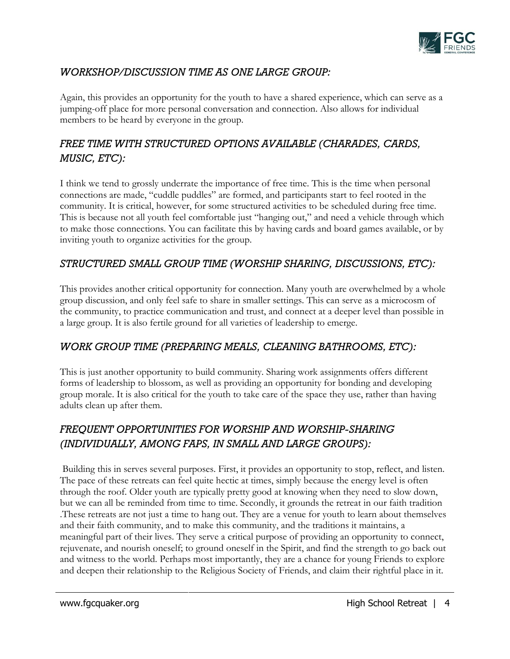

## *WORKSHOP/DISCUSSION TIME AS ONE LARGE GROUP:*

Again, this provides an opportunity for the youth to have a shared experience, which can serve as a jumping-off place for more personal conversation and connection. Also allows for individual members to be heard by everyone in the group.

# *FREE TIME WITH STRUCTURED OPTIONS AVAILABLE (CHARADES, CARDS, MUSIC, ETC):*

I think we tend to grossly underrate the importance of free time. This is the time when personal connections are made, "cuddle puddles" are formed, and participants start to feel rooted in the community. It is critical, however, for some structured activities to be scheduled during free time. This is because not all youth feel comfortable just "hanging out," and need a vehicle through which to make those connections. You can facilitate this by having cards and board games available, or by inviting youth to organize activities for the group.

## *STRUCTURED SMALL GROUP TIME (WORSHIP SHARING, DISCUSSIONS, ETC):*

This provides another critical opportunity for connection. Many youth are overwhelmed by a whole group discussion, and only feel safe to share in smaller settings. This can serve as a microcosm of the community, to practice communication and trust, and connect at a deeper level than possible in a large group. It is also fertile ground for all varieties of leadership to emerge.

## *WORK GROUP TIME (PREPARING MEALS, CLEANING BATHROOMS, ETC):*

This is just another opportunity to build community. Sharing work assignments offers different forms of leadership to blossom, as well as providing an opportunity for bonding and developing group morale. It is also critical for the youth to take care of the space they use, rather than having adults clean up after them.

# *FREQUENT OPPORTUNITIES FOR WORSHIP AND WORSHIP-SHARING (INDIVIDUALLY, AMONG FAPS, IN SMALL AND LARGE GROUPS):*

Building this in serves several purposes. First, it provides an opportunity to stop, reflect, and listen. The pace of these retreats can feel quite hectic at times, simply because the energy level is often through the roof. Older youth are typically pretty good at knowing when they need to slow down, but we can all be reminded from time to time. Secondly, it grounds the retreat in our faith tradition .These retreats are not just a time to hang out. They are a venue for youth to learn about themselves and their faith community, and to make this community, and the traditions it maintains, a meaningful part of their lives. They serve a critical purpose of providing an opportunity to connect, rejuvenate, and nourish oneself; to ground oneself in the Spirit, and find the strength to go back out and witness to the world. Perhaps most importantly, they are a chance for young Friends to explore and deepen their relationship to the Religious Society of Friends, and claim their rightful place in it.